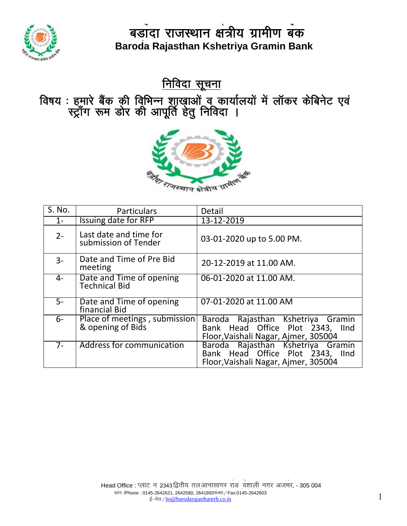

<u>निविदा सूचना</u>

विषय : हमारे बैंक की विृभिन्न शास्युाओं वू कार्यालयों में लॉकर केबिनेट एवं स्ट्रॉंग रूम डोर की आपूर्ति हेतु निविदा ।



| S. No. | <b>Particulars</b>                                 | Detail                                                                                                        |
|--------|----------------------------------------------------|---------------------------------------------------------------------------------------------------------------|
| $1 -$  | Issuing date for RFP                               | 13-12-2019                                                                                                    |
| $2 -$  | Last date and time for<br>submission of Tender     | 03-01-2020 up to 5.00 PM.                                                                                     |
| $3-$   | Date and Time of Pre Bid<br>meeting                | 20-12-2019 at 11.00 AM.                                                                                       |
| 4-     | Date and Time of opening<br><b>Technical Bid</b>   | 06-01-2020 at 11.00 AM.                                                                                       |
| $5-$   | Date and Time of opening<br>financial Bid          | 07-01-2020 at 11.00 AM                                                                                        |
| $6-$   | Place of meetings, submission<br>& opening of Bids | Baroda Rajasthan Kshetriya Gramin<br>Bank Head Office Plot 2343, IInd<br>Floor, Vaishali Nagar, Ajmer, 305004 |
| $7-$   | Address for communication                          | Baroda Rajasthan Kshetriya Gramin<br>Bank Head Office Plot 2343, IInd<br>Floor, Vaishali Nagar, Ajmer, 305004 |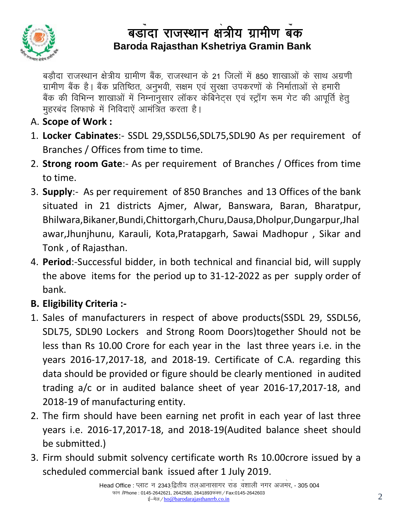

रामीण बैंक है। बैंक प्रतिष्ठित, अनुभवी, सक्षम एवं सुरक्षा उपकरणों के निर्माताओं से हमारी बड़ौदा राजस्थान क्षेत्रीय ग्रामीण बैंक, राजस्थान के 21 जिलों में 850 शाखाओं के साथ अग्रणी बैंक की विभिन्न शाखाओं में निम्नानुसार लॉकर केबिनेट्स एवं स्ट्राँग रूम गेट की आपूर्ति हेतू मुहरबंद लिफाफे में निविदाएें आमंत्रित करता है।

- A. **Scope of Work :**
- 1. **Locker Cabinates**:- SSDL 29,SSDL56,SDL75,SDL90 As per requirement of Branches / Offices from time to time.
- 2. **Strong room Gate**:- As per requirement of Branches / Offices from time to time.
- 3. **Supply**:- As per requirement of 850 Branches and 13 Offices of the bank situated in 21 districts Ajmer, Alwar, Banswara, Baran, Bharatpur, Bhilwara,Bikaner,Bundi,Chittorgarh,Churu,Dausa,Dholpur,Dungarpur,Jhal awar,Jhunjhunu, Karauli, Kota,Pratapgarh, Sawai Madhopur , Sikar and Tonk , of Rajasthan.
- 4. **Period**:-Successful bidder, in both technical and financial bid, will supply the above items for the period up to 31-12-2022 as per supply order of bank.
- **B. Eligibility Criteria :-**
- 1. Sales of manufacturers in respect of above products(SSDL 29, SSDL56, SDL75, SDL90 Lockers and Strong Room Doors)together Should not be less than Rs 10.00 Crore for each year in the last three years i.e. in the years 2016-17,2017-18, and 2018-19. Certificate of C.A. regarding this data should be provided or figure should be clearly mentioned in audited trading a/c or in audited balance sheet of year 2016-17,2017-18, and 2018-19 of manufacturing entity.
- 2. The firm should have been earning net profit in each year of last three years i.e. 2016-17,2017-18, and 2018-19(Audited balance sheet should be submitted.)
- 3. Firm should submit solvency certificate worth Rs 10.00crore issued by a scheduled commercial bank issued after 1 July 2019.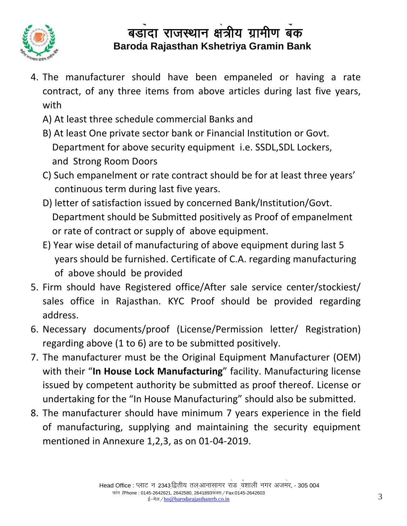

- 4. The manufacturer should have been empaneled or having a rate S (Sponsored by Bank of Baroda) contract, of any three items from above articles during last five years, with
	- A) At least three schedule commercial Banks and
	- B) At least One private sector bank or Financial Institution or Govt. Department for above security equipment i.e. SSDL,SDL Lockers, and Strong Room Doors
	- C) Such empanelment or rate contract should be for at least three years' continuous term during last five years.
	- D) letter of satisfaction issued by concerned Bank/Institution/Govt. Department should be Submitted positively as Proof of empanelment or rate of contract or supply of above equipment.
	- E) Year wise detail of manufacturing of above equipment during last 5 years should be furnished. Certificate of C.A. regarding manufacturing of above should be provided
- 5. Firm should have Registered office/After sale service center/stockiest/ sales office in Rajasthan. KYC Proof should be provided regarding address.
- 6. Necessary documents/proof (License/Permission letter/ Registration) regarding above (1 to 6) are to be submitted positively.
- 7. The manufacturer must be the Original Equipment Manufacturer (OEM) with their "**In House Lock Manufacturing**" facility. Manufacturing license issued by competent authority be submitted as proof thereof. License or undertaking for the "In House Manufacturing" should also be submitted.
- 8. The manufacturer should have minimum 7 years experience in the field of manufacturing, supplying and maintaining the security equipment mentioned in Annexure 1,2,3, as on 01-04-2019.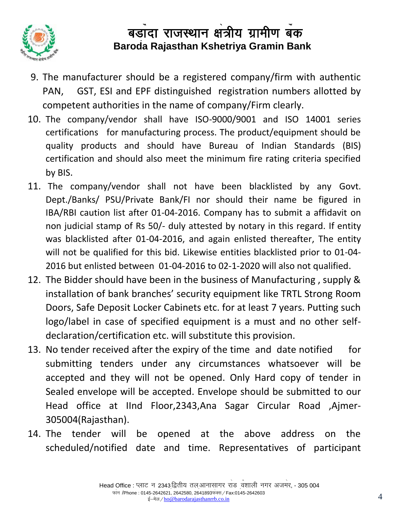

- 9. The manufacturer should be a registered company/firm with authentic PAN, GST, ESI and EPF distinguished registration numbers allotted by competent authorities in the name of company/Firm clearly.
- 10. The company/vendor shall have ISO-9000/9001 and ISO 14001 series certifications for manufacturing process. The product/equipment should be quality products and should have Bureau of Indian Standards (BIS) certification and should also meet the minimum fire rating criteria specified by BIS.
- 11. The company/vendor shall not have been blacklisted by any Govt. Dept./Banks/ PSU/Private Bank/FI nor should their name be figured in IBA/RBI caution list after 01-04-2016. Company has to submit a affidavit on non judicial stamp of Rs 50/- duly attested by notary in this regard. If entity was blacklisted after 01-04-2016, and again enlisted thereafter, The entity will not be qualified for this bid. Likewise entities blacklisted prior to 01-04- 2016 but enlisted between 01-04-2016 to 02-1-2020 will also not qualified.
- 12. The Bidder should have been in the business of Manufacturing , supply & installation of bank branches' security equipment like TRTL Strong Room Doors, Safe Deposit Locker Cabinets etc. for at least 7 years. Putting such logo/label in case of specified equipment is a must and no other selfdeclaration/certification etc. will substitute this provision.
- 13. No tender received after the expiry of the time and date notified for submitting tenders under any circumstances whatsoever will be accepted and they will not be opened. Only Hard copy of tender in Sealed envelope will be accepted. Envelope should be submitted to our Head office at IInd Floor, 2343, Ana Sagar Circular Road, Aimer-305004(Rajasthan).
- 14. The tender will be opened at the above address on the scheduled/notified date and time. Representatives of participant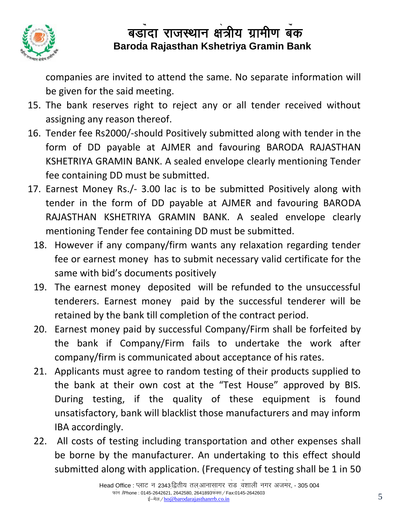

companies are invited to attend the same. No separate information will S be given for the said meeting.

- 15. The bank reserves right to reject any or all tender received without assigning any reason thereof.
- 16. Tender fee Rs2000/-should Positively submitted along with tender in the form of DD payable at AJMER and favouring BARODA RAJASTHAN KSHETRIYA GRAMIN BANK. A sealed envelope clearly mentioning Tender fee containing DD must be submitted.
- 17. Earnest Money Rs./- 3.00 lac is to be submitted Positively along with tender in the form of DD payable at AJMER and favouring BARODA RAJASTHAN KSHETRIYA GRAMIN BANK. A sealed envelope clearly mentioning Tender fee containing DD must be submitted.
	- 18. However if any company/firm wants any relaxation regarding tender fee or earnest money has to submit necessary valid certificate for the same with bid's documents positively
	- 19. The earnest money deposited will be refunded to the unsuccessful tenderers. Earnest money paid by the successful tenderer will be retained by the bank till completion of the contract period.
	- 20. Earnest money paid by successful Company/Firm shall be forfeited by the bank if Company/Firm fails to undertake the work after company/firm is communicated about acceptance of his rates.
	- 21. Applicants must agree to random testing of their products supplied to the bank at their own cost at the "Test House" approved by BIS. During testing, if the quality of these equipment is found unsatisfactory, bank will blacklist those manufacturers and may inform IBA accordingly.
	- 22. All costs of testing including transportation and other expenses shall be borne by the manufacturer. An undertaking to this effect should submitted along with application. (Frequency of testing shall be 1 in 50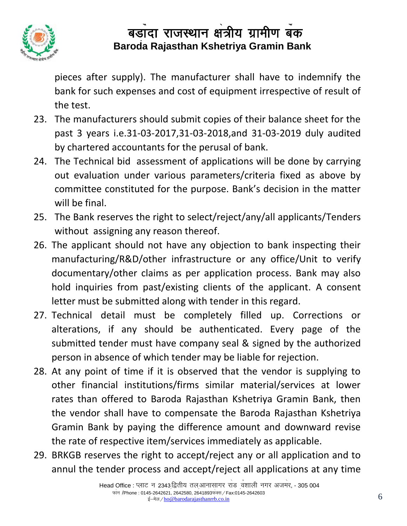

pieces after supply). The manufacturer shall have to indemnify the  $S_{\rm B}$ bank for such expenses and cost of equipment irrespective of result of the test.

- 23. The manufacturers should submit copies of their balance sheet for the past 3 years i.e.31-03-2017,31-03-2018,and 31-03-2019 duly audited by chartered accountants for the perusal of bank.
- 24. The Technical bid assessment of applications will be done by carrying out evaluation under various parameters/criteria fixed as above by committee constituted for the purpose. Bank's decision in the matter will be final.
- 25. The Bank reserves the right to select/reject/any/all applicants/Tenders without assigning any reason thereof.
- 26. The applicant should not have any objection to bank inspecting their manufacturing/R&D/other infrastructure or any office/Unit to verify documentary/other claims as per application process. Bank may also hold inquiries from past/existing clients of the applicant. A consent letter must be submitted along with tender in this regard.
- 27. Technical detail must be completely filled up. Corrections or alterations, if any should be authenticated. Every page of the submitted tender must have company seal & signed by the authorized person in absence of which tender may be liable for rejection.
- 28. At any point of time if it is observed that the vendor is supplying to other financial institutions/firms similar material/services at lower rates than offered to Baroda Rajasthan Kshetriya Gramin Bank, then the vendor shall have to compensate the Baroda Rajasthan Kshetriya Gramin Bank by paying the difference amount and downward revise the rate of respective item/services immediately as applicable.
- 29. BRKGB reserves the right to accept/reject any or all application and to annul the tender process and accept/reject all applications at any time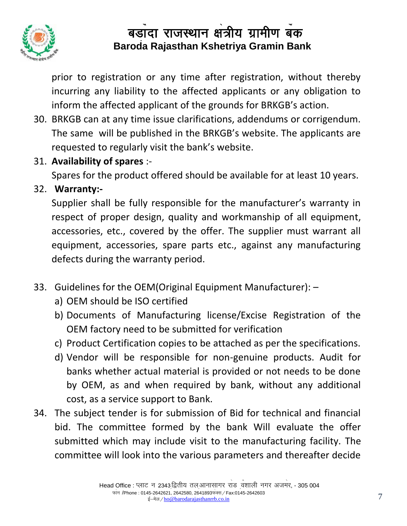

prior to registration or any time after registration, without thereby incurring any liability to the affected applicants or any obligation to inform the affected applicant of the grounds for BRKGB's action.

- 30. BRKGB can at any time issue clarifications, addendums or corrigendum. The same will be published in the BRKGB's website. The applicants are requested to regularly visit the bank's website.
- 31. **Availability of spares** :-

Spares for the product offered should be available for at least 10 years.

32. **Warranty:-**

Supplier shall be fully responsible for the manufacturer's warranty in respect of proper design, quality and workmanship of all equipment, accessories, etc., covered by the offer. The supplier must warrant all equipment, accessories, spare parts etc., against any manufacturing defects during the warranty period.

- 33. Guidelines for the OEM(Original Equipment Manufacturer):
	- a) OEM should be ISO certified
	- b) Documents of Manufacturing license/Excise Registration of the OEM factory need to be submitted for verification
	- c) Product Certification copies to be attached as per the specifications.
	- d) Vendor will be responsible for non-genuine products. Audit for banks whether actual material is provided or not needs to be done by OEM, as and when required by bank, without any additional cost, as a service support to Bank.
- 34. The subject tender is for submission of Bid for technical and financial bid. The committee formed by the bank Will evaluate the offer submitted which may include visit to the manufacturing facility. The committee will look into the various parameters and thereafter decide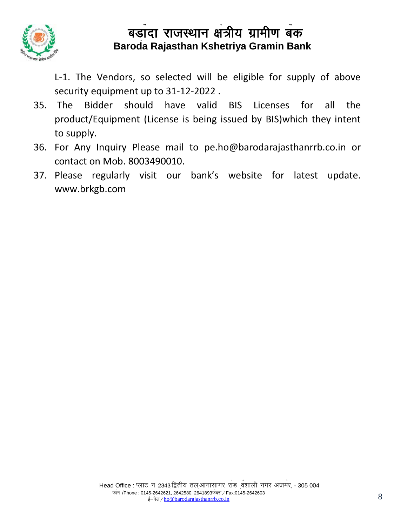

L-1. The Vendors, so selected will be eligible for supply of above S security equipment up to 31-12-2022 .

- 35. The Bidder should have valid BIS Licenses for all the product/Equipment (License is being issued by BIS)which they intent to supply.
- 36. For Any Inquiry Please mail to [pe.ho@barodarajasthanrrb.co.in](mailto:pe.ho@barodarajasthanrrb.co.in) or contact on Mob. 8003490010.
- 37. Please regularly visit our bank's website for latest update. www.brkgb.com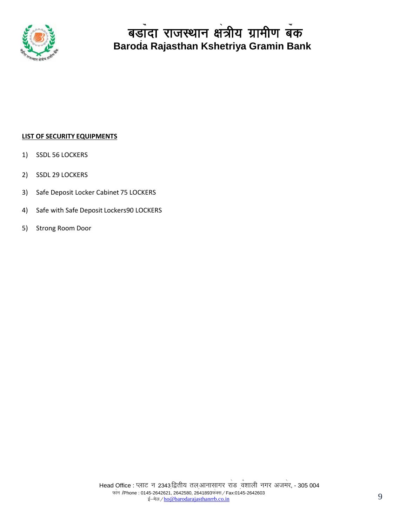

#### **LIST OF SECURITY EQUIPMENTS**

- 1) SSDL 56 LOCKERS
- 2) SSDL 29 LOCKERS
- 3) Safe Deposit Locker Cabinet 75 LOCKERS
- 4) Safe with Safe Deposit Lockers90 LOCKERS
- 5) Strong Room Door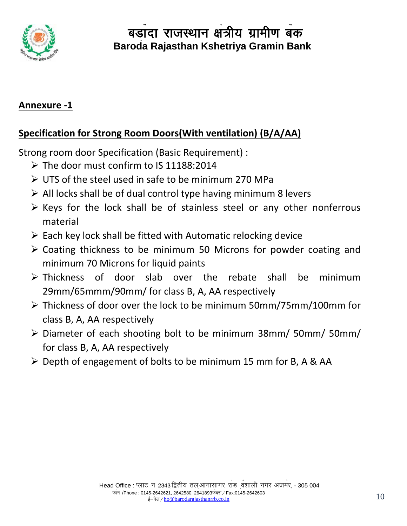

### **Annexure -1**

## **Specification for Strong Room Doors(With ventilation) (B/A/AA)**

Strong room door Specification (Basic Requirement) :

- $\triangleright$  The door must confirm to IS 11188:2014
- UTS of the steel used in safe to be minimum 270 MPa
- $\triangleright$  All locks shall be of dual control type having minimum 8 levers
- $\triangleright$  Keys for the lock shall be of stainless steel or any other nonferrous material
- $\triangleright$  Each key lock shall be fitted with Automatic relocking device
- Coating thickness to be minimum 50 Microns for powder coating and minimum 70 Microns for liquid paints
- Thickness of door slab over the rebate shall be minimum 29mm/65mmm/90mm/ for class B, A, AA respectively
- Thickness of door over the lock to be minimum 50mm/75mm/100mm for class B, A, AA respectively
- Diameter of each shooting bolt to be minimum 38mm/ 50mm/ 50mm/ for class B, A, AA respectively
- $\triangleright$  Depth of engagement of bolts to be minimum 15 mm for B, A & AA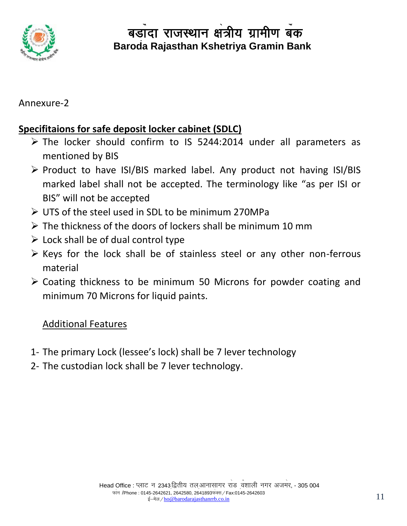

## Annexure-2

## **Specifitaions for safe deposit locker cabinet (SDLC)**

- $\triangleright$  The locker should confirm to IS 5244:2014 under all parameters as mentioned by BIS
- $\triangleright$  Product to have ISI/BIS marked label. Any product not having ISI/BIS marked label shall not be accepted. The terminology like "as per ISI or BIS" will not be accepted
- UTS of the steel used in SDL to be minimum 270MPa
- $\triangleright$  The thickness of the doors of lockers shall be minimum 10 mm
- $\triangleright$  Lock shall be of dual control type
- $\triangleright$  Keys for the lock shall be of stainless steel or any other non-ferrous material
- Coating thickness to be minimum 50 Microns for powder coating and minimum 70 Microns for liquid paints.

## Additional Features

- 1- The primary Lock (lessee's lock) shall be 7 lever technology
- 2- The custodian lock shall be 7 lever technology.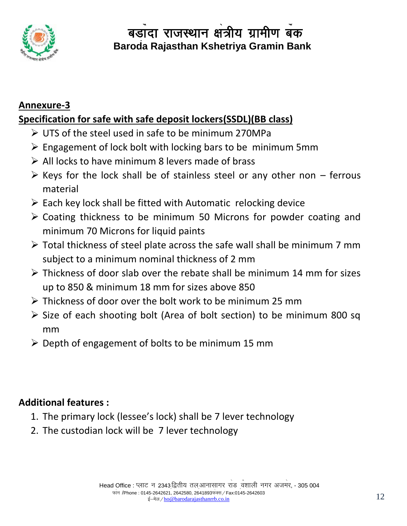

## **Annexure-3 Specification for safe with safe deposit lockers(SSDL)(BB class)**

- UTS of the steel used in safe to be minimum 270MPa
- $\triangleright$  Engagement of lock bolt with locking bars to be minimum 5mm
- $\triangleright$  All locks to have minimum 8 levers made of brass
- $\triangleright$  Keys for the lock shall be of stainless steel or any other non ferrous material
- $\triangleright$  Each key lock shall be fitted with Automatic relocking device
- Coating thickness to be minimum 50 Microns for powder coating and minimum 70 Microns for liquid paints
- Total thickness of steel plate across the safe wall shall be minimum 7 mm subject to a minimum nominal thickness of 2 mm
- $\triangleright$  Thickness of door slab over the rebate shall be minimum 14 mm for sizes up to 850 & minimum 18 mm for sizes above 850
- Thickness of door over the bolt work to be minimum 25 mm
- $\triangleright$  Size of each shooting bolt (Area of bolt section) to be minimum 800 sq mm
- $\triangleright$  Depth of engagement of bolts to be minimum 15 mm

## **Additional features :**

- 1. The primary lock (lessee's lock) shall be 7 lever technology
- 2. The custodian lock will be 7 lever technology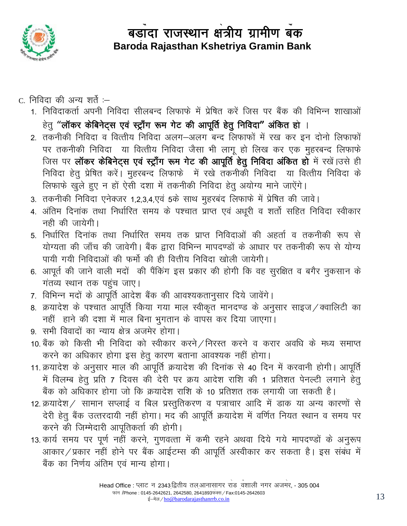

- c. निविदा की अन्य शर्ते :-
	- 1. निविदाकर्ता अपनी निविदा सीलबन्द लिफाफे में प्रेषित करें जिस पर बैंक की विभिन्न शाखाओं हेतू "लॉकर केबिनेट्स एवं स्ट्राँग रूम गेट की आपूर्ति हेतू निविदा" अंकित हो ।
	- 2. तकनीकी निविदा व वित्तीय निविदा अलग-अलग बन्द लिफाफों में रख कर इन दोनो लिफाफों पर तकनीकी निविदा या वित्तीय निविदा जैसा भी लागू हो लिख कर एक मुहरबन्द लिफाफे जिस पर लॉकर केबिनेट्स एवं स्ट्राँग रूम गेट की आपूर्ति हेतु निविदा अंकित हो में रखें।उसे ही निविदा हेतु प्रेषित करें। मुहरबन्द लिफाफें में रखे तकनीकी निविदा या वित्तीय निविदा के लिफाफे खुले हुए न हों ऐसी दशा में तकनीकी निविदा हेतु अयोग्य माने जाऐंगे।
	- 3. तकनीकी निविदा एनेक्जर 1,2,3,4,एवं 5के साथ मुहरबंद लिफाफे में प्रेषित की जावे।
	- 4. अंतिम दिनांक तथा निर्धारित समय के पश्चात प्राप्त एवं अधूरी व शर्तो सहित निविदा स्वीकार नही की जायेगी।
	- 5. निर्धारित दिनांक तथा निर्धारित समय तक प्राप्त निविदाओं की अहर्ता व तकनीकी रूप से योग्यता की जाँच की जावेगी। बैंक द्वारा विभिन्न मापदण्डों के आधार पर तकनीकी रूप से योग्य पायी गयी निविदाओं की फर्मो की ही वित्तीय निविदा खोली जायेगी।
	- 6. आपूर्त की जाने वाली मदों की पैंकिंग इस प्रकार की होगी कि वह सुरक्षित व बगैर नुकसान के गंतव्य स्थान तक पहुंच जाए।
	- 7. विभिन्न मदों के आपूर्ति आदेश बैंक की आवश्यकतानुसार दिये जावेंगे।
	- 8. क्रयादेश के पश्चात आपूर्ति किया गया माल स्वीकृत मानदण्ड के अनुसार साइज / क्वालिटी का नहीं हाने की दशा में माल बिना भुगतान के वापस कर दिया जाएगा।
	- 9. सभी विवादों का न्याय क्षेत्र अजमेर होगा।
	- 10. बैंक को किसी भी निविदा को स्वीकार करने / निरस्त करने व करार अवधि के मध्य समाप्त करने का अधिकार होगा इस हेतू कारण बताना आवश्यक नहीं होगा।
	- 11. क्रयादेश के अनुसार माल की आपूर्ति क्रयादेश की दिनांक से 40 दिन में करवानी होगी। आपूर्ति में विलम्ब हेतू प्रति 7 दिवस की देरी पर क्रय आदेश राशि की 1 प्रतिशत पेनल्टी लगाने हेतू बैंक को अधिकार होगा जो कि क्रयादेश राशि के 10 प्रतिशत तक लगायी जा सकती है।
	- 12. क्रयादेश/ सामान सप्लाई व बिल प्रस्तुतिकरण व पत्राचार आदि में डाक या अन्य कारणों से देरी हेतू बैंक उत्तरदायी नहीं होगा। मद की आपूर्ति क्रयादेश में वर्णित नियत स्थान व समय पर करने की जिम्मेदारी आपुतिकर्ता की होगी।
	- 13. कार्य समय पर पूर्ण नहीं करने, गुणवत्ता में कमी रहने अथवा दिये गये मापदण्डों के अनुरूप आकार / प्रकार नहीं होने पर बैंक आईटम्स की आपूर्ति अस्वीकार कर सकता है। इस संबंध में बैंक का निर्णय अंतिम एवं मान्य होगा।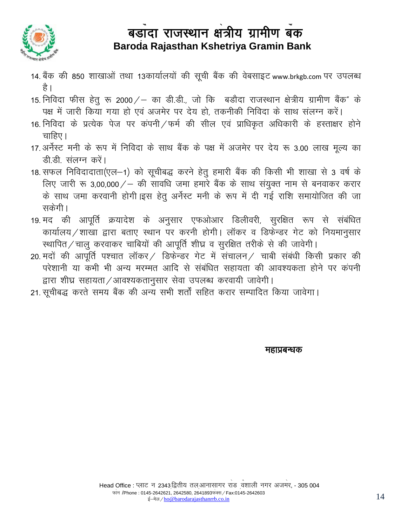

- 14. बैंक की 850 शाखाओं तथा 13कार्यालयों की सूची बैंक की वेबसाइट www.brkgb.com पर उपलब्ध है ।
- 15. निविदा फीस हेतु रू 2000 / का डी.डी., जो कि बडौदा राजस्थान क्षेत्रीय ग्रामीण बैंक" के पक्ष में जारी किया गया हो एवं अजमेर पर देय हो, तकनीकी निविदा के साथ संलग्न करें।
- 16. निविदा के प्रत्येक पेज पर कंपनी / फर्म की सील एवं प्राधिकृत अधिकारी के हस्ताक्षर होने चाहिए।
- 17. अर्नेस्ट मनी के रूप में निविदा के साथ बैंक के पक्ष में अजमेर पर देय रू 3.00 लाख मूल्य का डी.डी. संलग्न करें।
- 18. सफल निविदादाता(एल-1) को सूचीबद्ध करने हेतु हमारी बैंक की किसी भी शाखा से 3 वर्ष के लिए जारी रू 3,00,000/ – की सावधि जमा हमारे बैंक के साथ संयुक्त नाम से बनवाकर करार के साथ जमा करवानी होगी।इस हेतु अर्नेस्ट मनी के रूप में दी गई राशि समायोजित की जा सकेगी।
- 19. मद की आपूर्ति क्रयादेश के अनुसार एफओआर डिलीवरी, सुरक्षित रूप से संबंधित कार्यालय / शाखा द्वारा बताए स्थान पर करनी होगी। लॉकर व डिफेन्डर गेट को नियमानसार स्थापित / चालु करवाकर चाबियों की आपूर्ति शीघ्र व सुरक्षित तरीके से की जावेगी।
- 20. मदों की आपूर्ति पश्चात लॉकर / डिफेन्डर गेट में संचालन / चाबी संबंधी किसी प्रकार की परेशानी या कभी भी अन्य मरम्मत आदि से संबंधित सहायता की आवश्यकता होने पर कंपनी द्वारा शीघ्र सहायता / आवश्यकतानुसार सेवा उपलब्ध करवायी जावेगी।
- 21. सूचीबद्ध करते समय बैंक की अन्य सभी शर्तों सहित करार सम्पादित किया जावेगा।

महाप्रबन्धक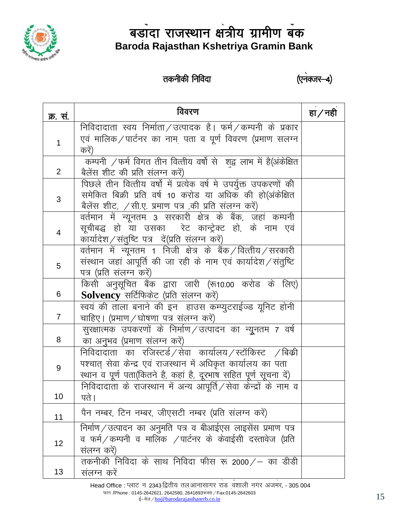

## तकनीकी निविदा

(एनक्जर-4)

| क्र. सं.       | विवरण                                                                                                                                                                                          | हा $/$ नही |
|----------------|------------------------------------------------------------------------------------------------------------------------------------------------------------------------------------------------|------------|
| 1              | निविदादाता स्वय निर्माता / उत्पादक है। फर्म / कम्पनी के प्रकार<br>एवं मालिक / पार्टनर का नाम <sub>,</sub> पता व पूर्ण विवरण (प्रमाण सलग्न<br>करें)                                             |            |
| $\overline{2}$ | कम्पनी $\angle$ फर्म विगत तीन वित्तीय वर्षो से) शद्व लाभ में है(अंकेक्षित<br>बैलेंस शीट की प्रति संलग्न करें)                                                                                  |            |
| 3              | पिछले तीन वित्तीय वर्षो में प्रत्येक वर्ष मे उपर्युक्त उपकरणों की<br>समेकित बिक्री प्रति वर्ष 10 करोड या अधिक की हो(अंकेक्षित<br>बैलेंस शीट, /सी.ए. प्रमाण पत्र ,की प्रति संलग्न करें)         |            |
| 4              | वर्तमान में न्यूनतम 3 सरकारी क्षेत्र के बैंक, जहां कम्पनी<br>सूचीबद्ध हो या उसका  रेट कान्ट्रेक्ट हो, के नाम एवं<br>कार्यादेश/संतुष्टि पत्र दें(प्रति संलग्न करें)                             |            |
| 5              | वर्तमान में न्यूनतम 1 निजी क्षेत्र के बैंक /वित्तीय /सरकारी<br>संस्थान जहां आपूर्ति की जा रही के नाम एवं कार्यादेश/संतुष्टि<br>पत्र (प्रति संलग्न करें)                                        |            |
| 6              | किसी अनुसूचित बैंक द्वारा जारी (रू10.00 करोड के लिए)<br>Solvency सर्टिफिकेट (प्रति संलग्न करें)                                                                                                |            |
| $\overline{7}$ | स्वयं की ताला बनाने की इन) हाउस कम्प्युटराईज्ड यूनिट होनी<br>चाहिए। (प्रमाण / घोषणा पत्र संलग्न करें)                                                                                          |            |
| 8              | सुरक्षात्मक उपकरणों के निर्माण / उत्पादन का न्यूनतम 7 वर्ष<br>का अनुभव (प्रमाण संलग्न करें)                                                                                                    |            |
| 9              | निविदादाता का रजिस्टर्ड /सेवा कार्यालय /स्टॉकिस्ट /बिक्री<br>पश्चात् सेवा केन्द्र एवं राजस्थान में अधिकृत कार्यालय का पता<br>स्थान व पूर्ण पता(कितने है, कहां है, दूरभाष सहित पूर्ण सूचना दें) |            |
| 10             | निविदादाता के राजस्थान में अन्य आपूर्ति / सेवा केन्द्रों के नाम व<br>पते ।                                                                                                                     |            |
| 11             | पैन नम्बर, टिन नम्बर, जीएसटी नम्बर (प्रति संलग्न करें)                                                                                                                                         |            |
| 12             | निर्माण ⁄ उत्पादन का अनुमति पत्र व बीआईएस लाइसेंस प्रमाण पत्र<br>व फर्म $\angle$ कम्पनी व मालिक $\angle$ पार्टनर के केवाईसी दस्तावेज (प्रति<br>संलग्न करें)                                    |            |
| 13             | तकनीकी निविदा के साथ निविदा फीस रू 2000 / – का डीडी<br>संलग्न करें                                                                                                                             |            |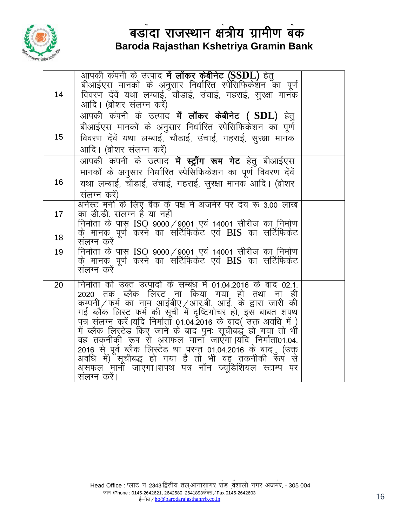

|    | आपकी कंपनी के उत्पाद <b>में लॉकर केबीनेट (SSDL)</b> हेतु                                                                         |  |
|----|----------------------------------------------------------------------------------------------------------------------------------|--|
|    | बीआईएस मानकों के अनुसार निर्धारित स्पेसिफिकेशन का पूर्ण<br>विवरण देंवें यथा लम्बाई, चौडाई, उंचाई, गहराई, सुरक्षा मानक            |  |
| 14 |                                                                                                                                  |  |
|    | आदि। (ब्रोशर संलग्न करें)                                                                                                        |  |
|    | आपकी कंपनी के उत्पाद <b>में लॉकर केबीनेट ( SDL)</b> हेतु                                                                         |  |
|    | बीआईएस मानकों के अनुसार निर्धारित स्पेसिफिकेशन का पूर्ण                                                                          |  |
| 15 | विवरण देंवें यथा लम्बाई, चौडाई, उंचाई, गहराई, सुरक्षा मानक                                                                       |  |
|    | आदि। (ब्रोशर संलग्न करें)                                                                                                        |  |
|    | आपकी कंपनी के उत्पाद <b>में स्ट्राँग रूम गेट</b> हेतु बीआईएस                                                                     |  |
|    | मानकों के अनुसार निर्धारित स्पेसिफिकेशन का पूर्ण विवरण देंवें                                                                    |  |
| 16 | यथा लम्बाई, चौडाई, उंचाई, गहराई, सुरक्षा मानक आदि। (ब्रोशर                                                                       |  |
|    | संलग्न करें)                                                                                                                     |  |
|    | अनेस्ट मनी के लिए बैंक के पक्ष मे अजमेर पर देय रू 3.00 लाख                                                                       |  |
| 17 | का डी.डी. संलग्न है या नहीं                                                                                                      |  |
|    | निर्माता के पास ISO 9000/9001 एवं 14001 सीरीज का निर्माण<br>के मानक पूर्ण करने का सर्टिफिकेट एवं BIS का सर्टिफिकेट               |  |
| 18 | संलग्न करें                                                                                                                      |  |
| 19 | निर्माता के पास ISO 9000/9001 एवं 14001 सीरीज का निर्माण                                                                         |  |
|    | के मानक पूर्ण करने का सर्टिफिकेट एवं BIS का सर्टिफिकेट                                                                           |  |
|    | संलग्न करें                                                                                                                      |  |
| 20 | निर्माता को उक्त उत्पादों के सम्बंध में 01.04.2016 के बाद 02.1.                                                                  |  |
|    | 2020 तक ब्लैक लिस्ट ना किया गया हो तथा ना ही                                                                                     |  |
|    | कम्पनी/फर्म का नाम आईबीए/आर.बी. आई. के द्वारा जारी की                                                                            |  |
|    | गई ब्लैक लिस्ट फूर्म की सूची में दृष्टिगोचर हो, इस बाबत शपथ<br>पत्र संलग्न करें।यदि निर्मातों 01.04.2016 के बाद( उक्त अवधि में ) |  |
|    | में ब्लैक लिस्टेड किए जाने के बाद पुनः सूचीबद्धूं हो गया तो भी                                                                   |  |
|    | वह तकनीकी रूप से असफल मानाँ जाएँगा।यदि निर्माता01.04.                                                                            |  |
|    | 2016 से पूर्व ब्लैक लिस्टेड था परन्त 01.04.2016 के बाद ़ (उक्त                                                                   |  |
|    | अवधि में)ेंसूचीबद्ध हो गया है तो भी वह तकनीकी रूप से                                                                             |  |
|    | असफल मानों जाएगा।शपथ पत्र नॉन ज्यूडिशियल स्टाम्प पर                                                                              |  |
|    | संलग्न करें।                                                                                                                     |  |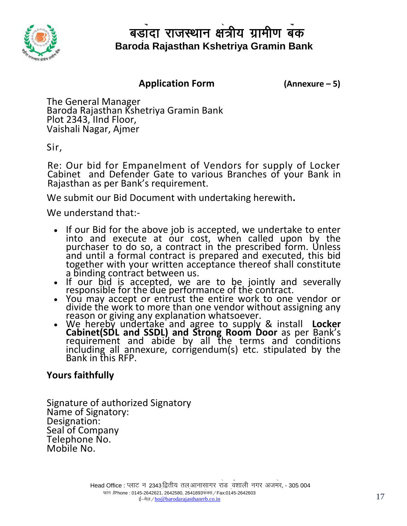

#### **(Annexure - 5) Application Form (Annexure - 5)** S

The General Manager Baroda Rajasthan Kshetriya Gramin Bank Plot 2343, IInd Floor, Vaishali Nagar, Ajmer

Sir,

Re: Our bid for Empanelment of Vendors for supply of Locker Cabinet and Defender Gate to various Branches of your Bank in Rajasthan as per Bank's requirement.

We submit our Bid Document with undertaking herewith**.** 

We understand that:-

- If our Bid for the above job is accepted, we undertake to enter into and execute at our cost, when called upon by the purchaser to do so, a contract in the prescribed form. Unless and until a formal contract is prepared and executed, this bid together with your written acceptance thereof shall constitute a binding contract between us.
- If our bid is accepted, we are to be jointly and severally responsible for the due performance of the contract.
- You may accept or entrust the entire work to one vendor or divide the work to more than one vendor without assigning any reason or giving any explanation whatsoever.
- We hereby undertake and agree to supply & install **Locker Cabinet(SDL and SSDL) and Strong Room Door** as per Bank's requirement and abide by all the terms and conditions including all annexure, corrigendum(s) etc. stipulated by the Bank in this RFP.

### **Yours faithfully**

Signature of authorized Signatory Name of Signatory: Designation: Seal of Company Telephone No. Mobile No.